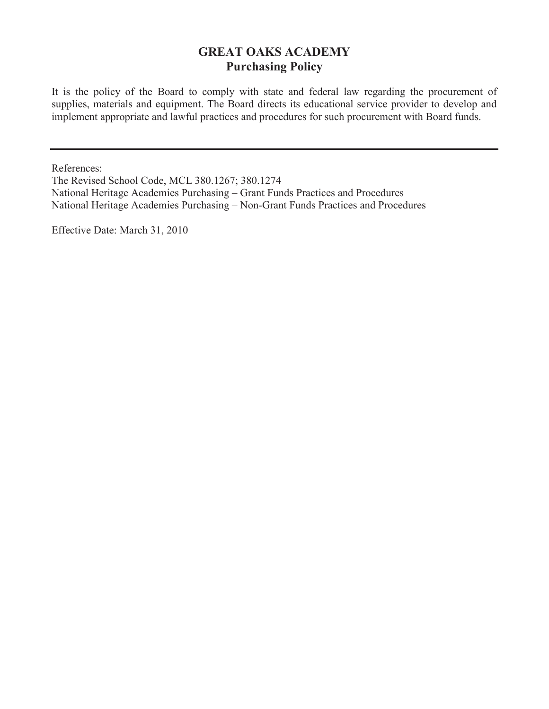# **GREAT OAKS ACADEMY Purchasing Policy**

It is the policy of the Board to comply with state and federal law regarding the procurement of supplies, materials and equipment. The Board directs its educational service provider to develop and implement appropriate and lawful practices and procedures for such procurement with Board funds.

References:

The Revised School Code, MCL 380.1267; 380.1274 National Heritage Academies Purchasing – Grant Funds Practices and Procedures National Heritage Academies Purchasing – Non-Grant Funds Practices and Procedures

Effective Date: March 31, 2010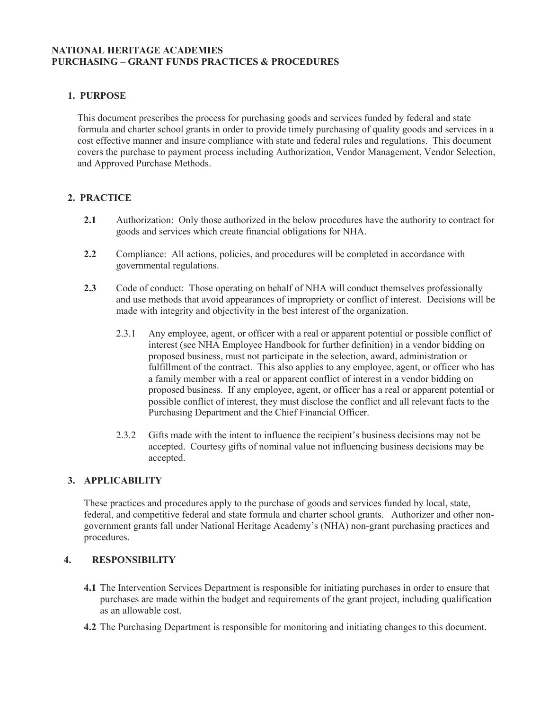## **NATIONAL HERITAGE ACADEMIES PURCHASING – GRANT FUNDS PRACTICES & PROCEDURES**

# **1. PURPOSE**

This document prescribes the process for purchasing goods and services funded by federal and state formula and charter school grants in order to provide timely purchasing of quality goods and services in a cost effective manner and insure compliance with state and federal rules and regulations. This document covers the purchase to payment process including Authorization, Vendor Management, Vendor Selection, and Approved Purchase Methods.

# **2. PRACTICE**

- **2.1** Authorization: Only those authorized in the below procedures have the authority to contract for goods and services which create financial obligations for NHA.
- **2.2** Compliance: All actions, policies, and procedures will be completed in accordance with governmental regulations.
- **2.3** Code of conduct: Those operating on behalf of NHA will conduct themselves professionally and use methods that avoid appearances of impropriety or conflict of interest. Decisions will be made with integrity and objectivity in the best interest of the organization.
	- 2.3.1 Any employee, agent, or officer with a real or apparent potential or possible conflict of interest (see NHA Employee Handbook for further definition) in a vendor bidding on proposed business, must not participate in the selection, award, administration or fulfillment of the contract. This also applies to any employee, agent, or officer who has a family member with a real or apparent conflict of interest in a vendor bidding on proposed business. If any employee, agent, or officer has a real or apparent potential or possible conflict of interest, they must disclose the conflict and all relevant facts to the Purchasing Department and the Chief Financial Officer.
	- 2.3.2 Gifts made with the intent to influence the recipient's business decisions may not be accepted. Courtesy gifts of nominal value not influencing business decisions may be accepted.

#### **3. APPLICABILITY**

These practices and procedures apply to the purchase of goods and services funded by local, state, federal, and competitive federal and state formula and charter school grants. Authorizer and other nongovernment grants fall under National Heritage Academy's (NHA) non-grant purchasing practices and procedures.

#### **4. RESPONSIBILITY**

- **4.1** The Intervention Services Department is responsible for initiating purchases in order to ensure that purchases are made within the budget and requirements of the grant project, including qualification as an allowable cost.
- **4.2** The Purchasing Department is responsible for monitoring and initiating changes to this document.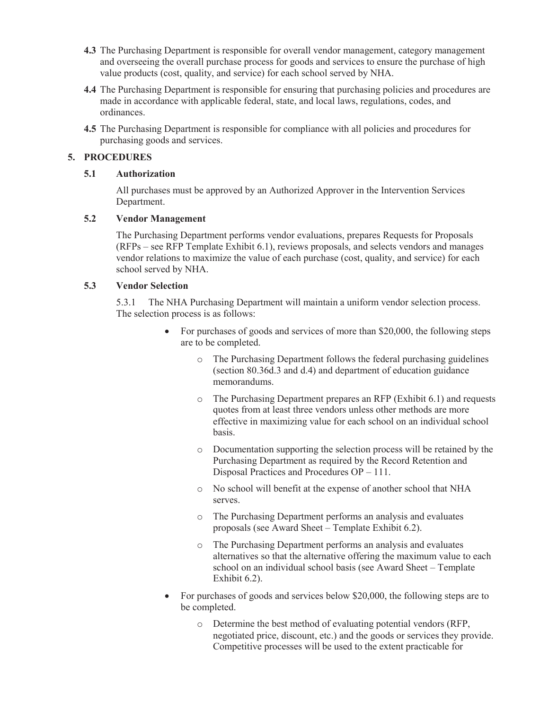- **4.3** The Purchasing Department is responsible for overall vendor management, category management and overseeing the overall purchase process for goods and services to ensure the purchase of high value products (cost, quality, and service) for each school served by NHA.
- **4.4** The Purchasing Department is responsible for ensuring that purchasing policies and procedures are made in accordance with applicable federal, state, and local laws, regulations, codes, and ordinances.
- **4.5** The Purchasing Department is responsible for compliance with all policies and procedures for purchasing goods and services.

# **5. PROCEDURES**

## **5.1 Authorization**

All purchases must be approved by an Authorized Approver in the Intervention Services Department.

## **5.2 Vendor Management**

The Purchasing Department performs vendor evaluations, prepares Requests for Proposals (RFPs – see RFP Template Exhibit 6.1), reviews proposals, and selects vendors and manages vendor relations to maximize the value of each purchase (cost, quality, and service) for each school served by NHA.

## **5.3 Vendor Selection**

 5.3.1 The NHA Purchasing Department will maintain a uniform vendor selection process. The selection process is as follows:

- For purchases of goods and services of more than \$20,000, the following steps are to be completed.
	- o The Purchasing Department follows the federal purchasing guidelines (section 80.36d.3 and d.4) and department of education guidance memorandums.
	- o The Purchasing Department prepares an RFP (Exhibit 6.1) and requests quotes from at least three vendors unless other methods are more effective in maximizing value for each school on an individual school basis.
	- o Documentation supporting the selection process will be retained by the Purchasing Department as required by the Record Retention and Disposal Practices and Procedures OP – 111.
	- o No school will benefit at the expense of another school that NHA serves.
	- o The Purchasing Department performs an analysis and evaluates proposals (see Award Sheet – Template Exhibit 6.2).
	- o The Purchasing Department performs an analysis and evaluates alternatives so that the alternative offering the maximum value to each school on an individual school basis (see Award Sheet – Template Exhibit 6.2).
- For purchases of goods and services below \$20,000, the following steps are to be completed.
	- o Determine the best method of evaluating potential vendors (RFP, negotiated price, discount, etc.) and the goods or services they provide. Competitive processes will be used to the extent practicable for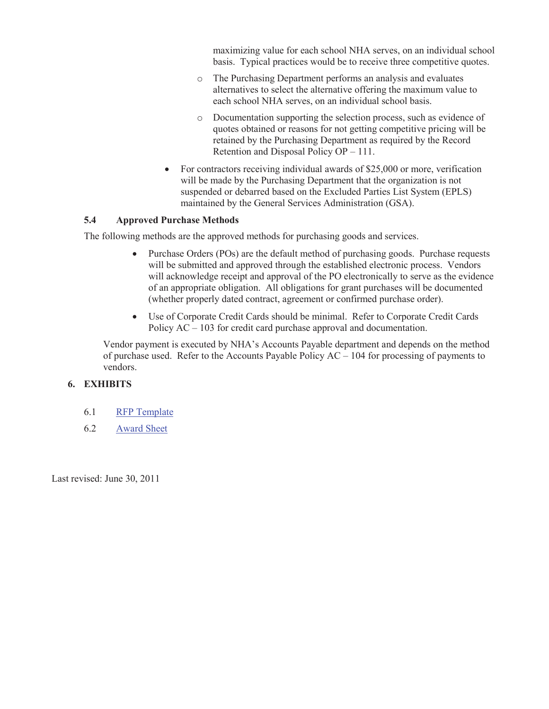maximizing value for each school NHA serves, on an individual school basis. Typical practices would be to receive three competitive quotes.

- o The Purchasing Department performs an analysis and evaluates alternatives to select the alternative offering the maximum value to each school NHA serves, on an individual school basis.
- o Documentation supporting the selection process, such as evidence of quotes obtained or reasons for not getting competitive pricing will be retained by the Purchasing Department as required by the Record Retention and Disposal Policy OP – 111.
- For contractors receiving individual awards of \$25,000 or more, verification will be made by the Purchasing Department that the organization is not suspended or debarred based on the Excluded Parties List System (EPLS) maintained by the General Services Administration (GSA).

#### **5.4 Approved Purchase Methods**

The following methods are the approved methods for purchasing goods and services.

- Purchase Orders (POs) are the default method of purchasing goods. Purchase requests will be submitted and approved through the established electronic process. Vendors will acknowledge receipt and approval of the PO electronically to serve as the evidence of an appropriate obligation. All obligations for grant purchases will be documented (whether properly dated contract, agreement or confirmed purchase order).
- · Use of Corporate Credit Cards should be minimal. Refer to Corporate Credit Cards Policy AC – 103 for credit card purchase approval and documentation.

Vendor payment is executed by NHA's Accounts Payable department and depends on the method of purchase used. Refer to the Accounts Payable Policy  $AC - 104$  for processing of payments to vendors.

## **6. EXHIBITS**

- 6.1 RFP Template
- 6.2 Award Sheet

Last revised: June 30, 2011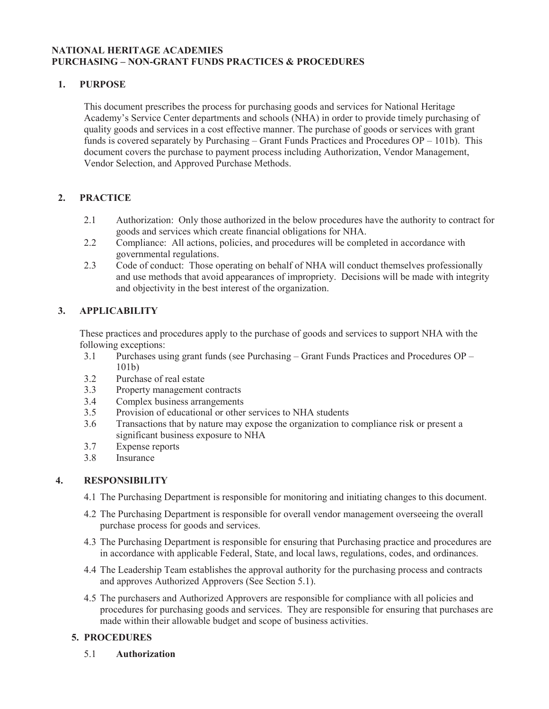## **NATIONAL HERITAGE ACADEMIES PURCHASING – NON-GRANT FUNDS PRACTICES & PROCEDURES**

## **1. PURPOSE**

This document prescribes the process for purchasing goods and services for National Heritage Academy's Service Center departments and schools (NHA) in order to provide timely purchasing of quality goods and services in a cost effective manner. The purchase of goods or services with grant funds is covered separately by Purchasing – Grant Funds Practices and Procedures OP – 101b). This document covers the purchase to payment process including Authorization, Vendor Management, Vendor Selection, and Approved Purchase Methods.

# **2. PRACTICE**

- 2.1 Authorization: Only those authorized in the below procedures have the authority to contract for goods and services which create financial obligations for NHA.
- 2.2 Compliance: All actions, policies, and procedures will be completed in accordance with governmental regulations.
- 2.3 Code of conduct: Those operating on behalf of NHA will conduct themselves professionally and use methods that avoid appearances of impropriety. Decisions will be made with integrity and objectivity in the best interest of the organization.

# **3. APPLICABILITY**

These practices and procedures apply to the purchase of goods and services to support NHA with the following exceptions:

- 3.1 Purchases using grant funds (see Purchasing Grant Funds Practices and Procedures OP 101b)
- 3.2 Purchase of real estate
- 3.3 Property management contracts
- 3.4 Complex business arrangements
- 3.5 Provision of educational or other services to NHA students
- 3.6 Transactions that by nature may expose the organization to compliance risk or present a significant business exposure to NHA
- 3.7 Expense reports<br>3.8 Insurance
- **Insurance**

# **4. RESPONSIBILITY**

- 4.1 The Purchasing Department is responsible for monitoring and initiating changes to this document.
- 4.2 The Purchasing Department is responsible for overall vendor management overseeing the overall purchase process for goods and services.
- 4.3 The Purchasing Department is responsible for ensuring that Purchasing practice and procedures are in accordance with applicable Federal, State, and local laws, regulations, codes, and ordinances.
- 4.4 The Leadership Team establishes the approval authority for the purchasing process and contracts and approves Authorized Approvers (See Section 5.1).
- 4.5 The purchasers and Authorized Approvers are responsible for compliance with all policies and procedures for purchasing goods and services. They are responsible for ensuring that purchases are made within their allowable budget and scope of business activities.

# **5. PROCEDURES**

5.1 **Authorization**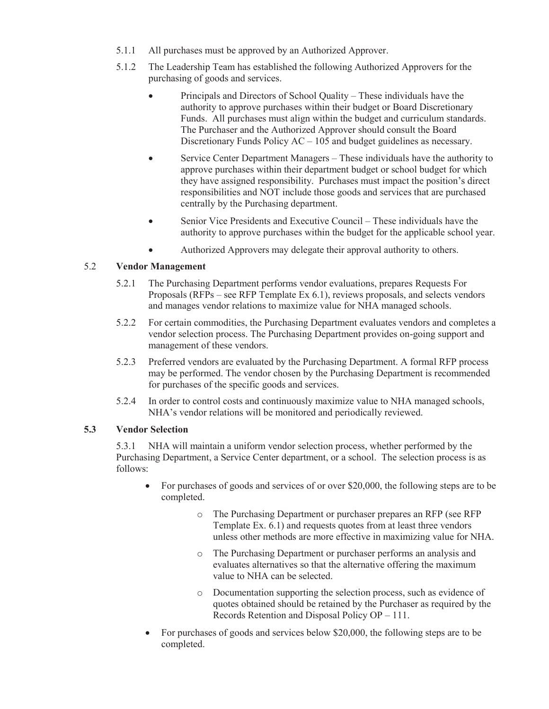- 5.1.1 All purchases must be approved by an Authorized Approver.
- 5.1.2 The Leadership Team has established the following Authorized Approvers for the purchasing of goods and services.
	- Principals and Directors of School Quality These individuals have the authority to approve purchases within their budget or Board Discretionary Funds. All purchases must align within the budget and curriculum standards. The Purchaser and the Authorized Approver should consult the Board Discretionary Funds Policy AC – 105 and budget guidelines as necessary.
	- · Service Center Department Managers These individuals have the authority to approve purchases within their department budget or school budget for which they have assigned responsibility. Purchases must impact the position's direct responsibilities and NOT include those goods and services that are purchased centrally by the Purchasing department.
	- Senior Vice Presidents and Executive Council These individuals have the authority to approve purchases within the budget for the applicable school year.
	- · Authorized Approvers may delegate their approval authority to others.

## 5.2 **Vendor Management**

- 5.2.1 The Purchasing Department performs vendor evaluations, prepares Requests For Proposals (RFPs – see RFP Template Ex 6.1), reviews proposals, and selects vendors and manages vendor relations to maximize value for NHA managed schools.
- 5.2.2 For certain commodities, the Purchasing Department evaluates vendors and completes a vendor selection process. The Purchasing Department provides on-going support and management of these vendors.
- 5.2.3 Preferred vendors are evaluated by the Purchasing Department. A formal RFP process may be performed. The vendor chosen by the Purchasing Department is recommended for purchases of the specific goods and services.
- 5.2.4 In order to control costs and continuously maximize value to NHA managed schools, NHA's vendor relations will be monitored and periodically reviewed.

# **5.3 Vendor Selection**

 5.3.1 NHA will maintain a uniform vendor selection process, whether performed by the Purchasing Department, a Service Center department, or a school. The selection process is as follows:

- For purchases of goods and services of or over \$20,000, the following steps are to be completed.
	- o The Purchasing Department or purchaser prepares an RFP (see RFP Template Ex. 6.1) and requests quotes from at least three vendors unless other methods are more effective in maximizing value for NHA.
	- o The Purchasing Department or purchaser performs an analysis and evaluates alternatives so that the alternative offering the maximum value to NHA can be selected.
	- o Documentation supporting the selection process, such as evidence of quotes obtained should be retained by the Purchaser as required by the Records Retention and Disposal Policy OP – 111.
- For purchases of goods and services below \$20,000, the following steps are to be completed.